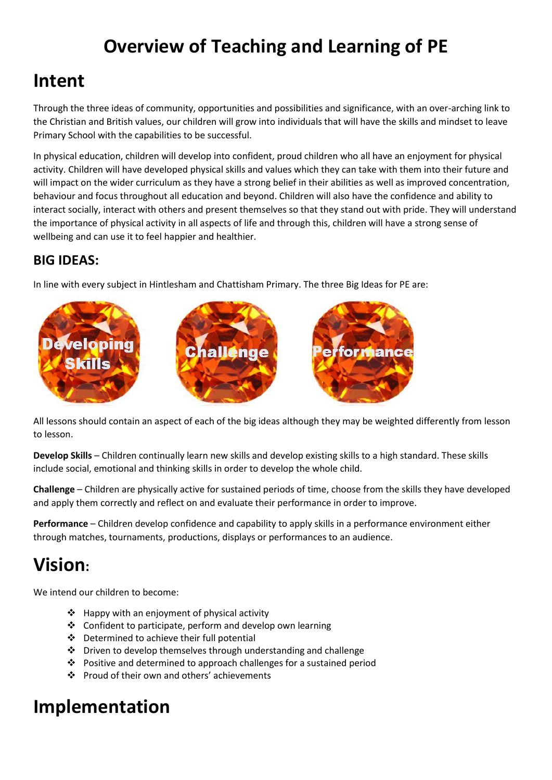# **Overview of Teaching and Learning of PE**

## **Intent**

Through the three ideas of community, opportunities and possibilities and significance, with an over-arching link to the Christian and British values, our children will grow into individuals that will have the skills and mindset to leave Primary School with the capabilities to be successful.

In physical education, children will develop into confident, proud children who all have an enjoyment for physical activity. Children will have developed physical skills and values which they can take with them into their future and will impact on the wider curriculum as they have a strong belief in their abilities as well as improved concentration, behaviour and focus throughout all education and beyond. Children will also have the confidence and ability to interact socially, interact with others and present themselves so that they stand out with pride. They will understand the importance of physical activity in all aspects of life and through this, children will have a strong sense of wellbeing and can use it to feel happier and healthier.

#### **BIG IDEAS:**

In line with every subject in Hintlesham and Chattisham Primary. The three Big Ideas for PE are:



All lessons should contain an aspect of each of the big ideas although they may be weighted differently from lesson to lesson.

**Develop Skills** – Children continually learn new skills and develop existing skills to a high standard. These skills include social, emotional and thinking skills in order to develop the whole child.

**Challenge** – Children are physically active for sustained periods of time, choose from the skills they have developed and apply them correctly and reflect on and evaluate their performance in order to improve.

**Performance** – Children develop confidence and capability to apply skills in a performance environment either through matches, tournaments, productions, displays or performances to an audience.

# **Vision:**

We intend our children to become:

- ❖ Happy with an enjoyment of physical activity
- ❖ Confident to participate, perform and develop own learning
- ❖ Determined to achieve their full potential
- ❖ Driven to develop themselves through understanding and challenge
- ❖ Positive and determined to approach challenges for a sustained period
- ❖ Proud of their own and others' achievements

## **Implementation**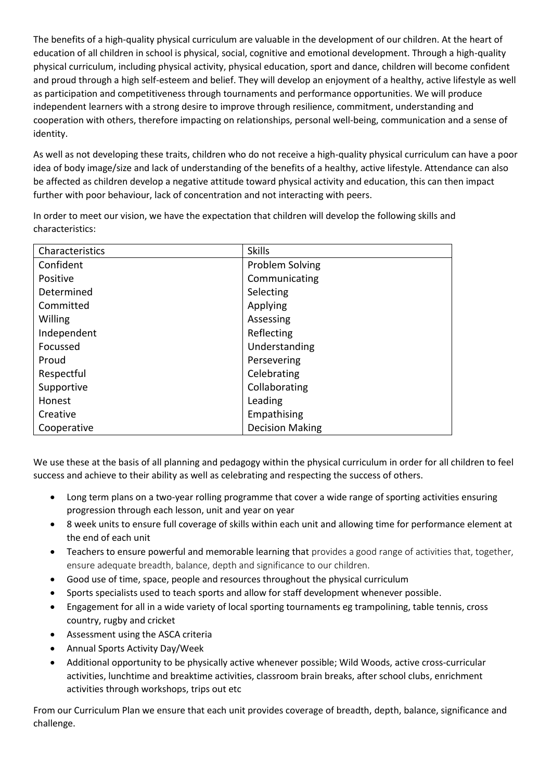The benefits of a high-quality physical curriculum are valuable in the development of our children. At the heart of education of all children in school is physical, social, cognitive and emotional development. Through a high-quality physical curriculum, including physical activity, physical education, sport and dance, children will become confident and proud through a high self-esteem and belief. They will develop an enjoyment of a healthy, active lifestyle as well as participation and competitiveness through tournaments and performance opportunities. We will produce independent learners with a strong desire to improve through resilience, commitment, understanding and cooperation with others, therefore impacting on relationships, personal well-being, communication and a sense of identity.

As well as not developing these traits, children who do not receive a high-quality physical curriculum can have a poor idea of body image/size and lack of understanding of the benefits of a healthy, active lifestyle. Attendance can also be affected as children develop a negative attitude toward physical activity and education, this can then impact further with poor behaviour, lack of concentration and not interacting with peers.

In order to meet our vision, we have the expectation that children will develop the following skills and characteristics:

| Characteristics | <b>Skills</b>          |
|-----------------|------------------------|
| Confident       | <b>Problem Solving</b> |
| Positive        | Communicating          |
| Determined      | Selecting              |
| Committed       | Applying               |
| Willing         | Assessing              |
| Independent     | Reflecting             |
| Focussed        | Understanding          |
| Proud           | Persevering            |
| Respectful      | Celebrating            |
| Supportive      | Collaborating          |
| Honest          | Leading                |
| Creative        | Empathising            |
| Cooperative     | <b>Decision Making</b> |

We use these at the basis of all planning and pedagogy within the physical curriculum in order for all children to feel success and achieve to their ability as well as celebrating and respecting the success of others.

- Long term plans on a two-year rolling programme that cover a wide range of sporting activities ensuring progression through each lesson, unit and year on year
- 8 week units to ensure full coverage of skills within each unit and allowing time for performance element at the end of each unit
- Teachers to ensure powerful and memorable learning that provides a good range of activities that, together, ensure adequate breadth, balance, depth and significance to our children.
- Good use of time, space, people and resources throughout the physical curriculum
- Sports specialists used to teach sports and allow for staff development whenever possible.
- Engagement for all in a wide variety of local sporting tournaments eg trampolining, table tennis, cross country, rugby and cricket
- Assessment using the ASCA criteria
- Annual Sports Activity Day/Week
- Additional opportunity to be physically active whenever possible; Wild Woods, active cross-curricular activities, lunchtime and breaktime activities, classroom brain breaks, after school clubs, enrichment activities through workshops, trips out etc

From our Curriculum Plan we ensure that each unit provides coverage of breadth, depth, balance, significance and challenge.